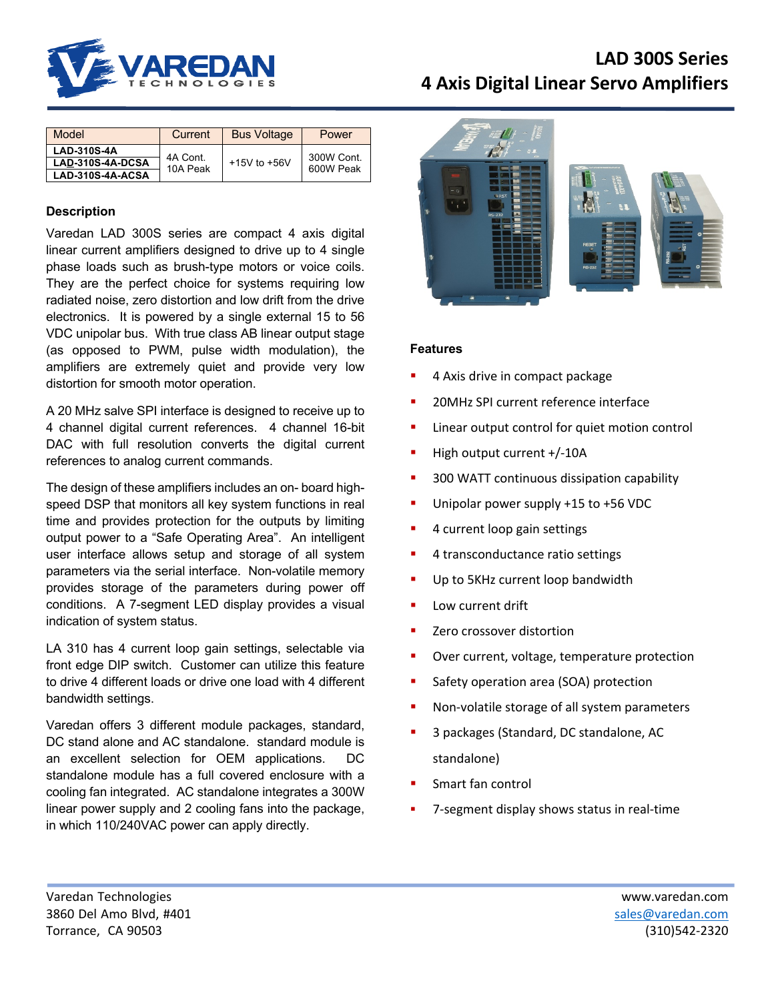

| Model              | Current             | <b>Bus Voltage</b> | Power                   |
|--------------------|---------------------|--------------------|-------------------------|
| <b>LAD-310S-4A</b> | 4A Cont<br>10A Peak | $+15V$ to $+56V$   | 300W Cont.<br>600W Peak |
| LAD-310S-4A-DCSA   |                     |                    |                         |
| LAD-310S-4A-ACSA   |                     |                    |                         |

# **Description**

Varedan LAD 300S series are compact 4 axis digital linear current amplifiers designed to drive up to 4 single phase loads such as brush-type motors or voice coils. They are the perfect choice for systems requiring low radiated noise, zero distortion and low drift from the drive electronics. It is powered by a single external 15 to 56 VDC unipolar bus. With true class AB linear output stage (as opposed to PWM, pulse width modulation), the amplifiers are extremely quiet and provide very low distortion for smooth motor operation.

A 20 MHz salve SPI interface is designed to receive up to 4 channel digital current references. 4 channel 16-bit DAC with full resolution converts the digital current references to analog current commands.

The design of these amplifiers includes an on- board highspeed DSP that monitors all key system functions in real time and provides protection for the outputs by limiting output power to a "Safe Operating Area". An intelligent user interface allows setup and storage of all system parameters via the serial interface. Non-volatile memory provides storage of the parameters during power off conditions. A 7-segment LED display provides a visual indication of system status.

LA 310 has 4 current loop gain settings, selectable via front edge DIP switch. Customer can utilize this feature to drive 4 different loads or drive one load with 4 different bandwidth settings.

Varedan offers 3 different module packages, standard, DC stand alone and AC standalone. standard module is an excellent selection for OEM applications. DC standalone module has a full covered enclosure with a cooling fan integrated. AC standalone integrates a 300W linear power supply and 2 cooling fans into the package, in which 110/240VAC power can apply directly.



## **Features**

- § 4 Axis drive in compact package
- § 20MHz SPI current reference interface
- Linear output control for quiet motion control
- High output current +/-10A
- § 300 WATT continuous dissipation capability
- **■** Unipolar power supply +15 to +56 VDC
- § 4 current loop gain settings
- § 4 transconductance ratio settings
- Up to 5KHz current loop bandwidth
- Low current drift
- Zero crossover distortion
- § Over current, voltage, temperature protection
- Safety operation area (SOA) protection
- Non-volatile storage of all system parameters
- § 3 packages (Standard, DC standalone, AC standalone)
- § Smart fan control
- § 7-segment display shows status in real-time

Varedan Technologies www.varedan.com 3860 Del Amo Blvd, #401 sales@varedan.com Torrance, CA 90503 (310)542-2320